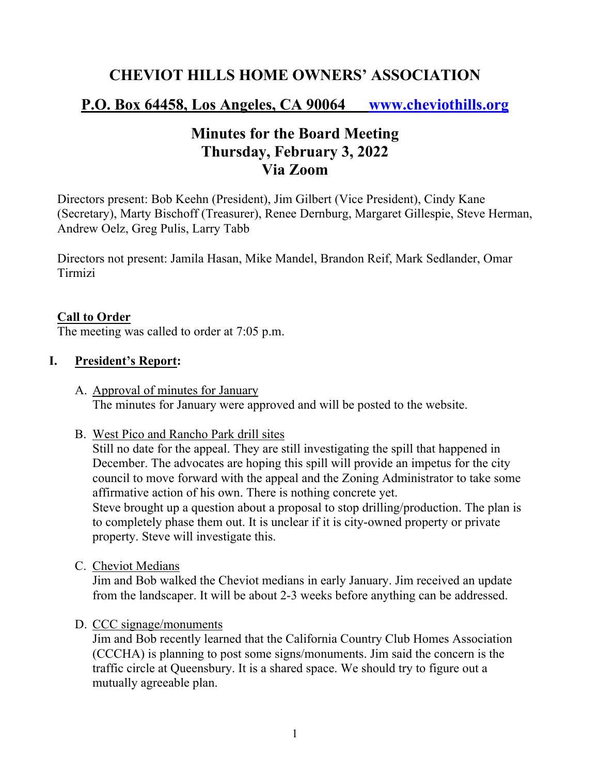## **CHEVIOT HILLS HOME OWNERS' ASSOCIATION**

# **P.O. Box 64458, Los Angeles, CA 90064 www.cheviothills.org**

# **Minutes for the Board Meeting Thursday, February 3, 2022 Via Zoom**

Directors present: Bob Keehn (President), Jim Gilbert (Vice President), Cindy Kane (Secretary), Marty Bischoff (Treasurer), Renee Dernburg, Margaret Gillespie, Steve Herman, Andrew Oelz, Greg Pulis, Larry Tabb

Directors not present: Jamila Hasan, Mike Mandel, Brandon Reif, Mark Sedlander, Omar Tirmizi

#### **Call to Order**

The meeting was called to order at 7:05 p.m.

#### **I. President's Report:**

- A. Approval of minutes for January The minutes for January were approved and will be posted to the website.
- B. West Pico and Rancho Park drill sites

Still no date for the appeal. They are still investigating the spill that happened in December. The advocates are hoping this spill will provide an impetus for the city council to move forward with the appeal and the Zoning Administrator to take some affirmative action of his own. There is nothing concrete yet.

Steve brought up a question about a proposal to stop drilling/production. The plan is to completely phase them out. It is unclear if it is city-owned property or private property. Steve will investigate this.

C. Cheviot Medians

Jim and Bob walked the Cheviot medians in early January. Jim received an update from the landscaper. It will be about 2-3 weeks before anything can be addressed.

D. CCC signage/monuments

Jim and Bob recently learned that the California Country Club Homes Association (CCCHA) is planning to post some signs/monuments. Jim said the concern is the traffic circle at Queensbury. It is a shared space. We should try to figure out a mutually agreeable plan.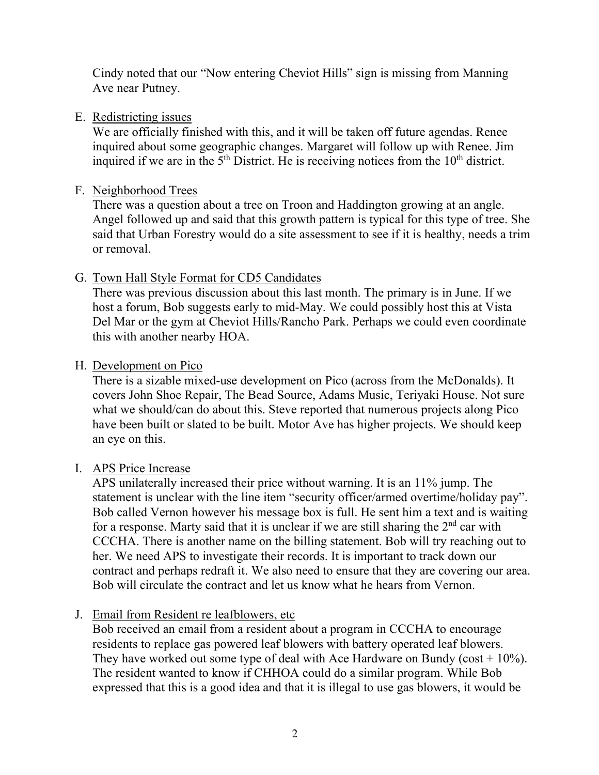Cindy noted that our "Now entering Cheviot Hills" sign is missing from Manning Ave near Putney.

#### E. Redistricting issues

We are officially finished with this, and it will be taken off future agendas. Renee inquired about some geographic changes. Margaret will follow up with Renee. Jim inquired if we are in the  $5<sup>th</sup>$  District. He is receiving notices from the  $10<sup>th</sup>$  district.

### F. Neighborhood Trees

There was a question about a tree on Troon and Haddington growing at an angle. Angel followed up and said that this growth pattern is typical for this type of tree. She said that Urban Forestry would do a site assessment to see if it is healthy, needs a trim or removal.

## G. Town Hall Style Format for CD5 Candidates

There was previous discussion about this last month. The primary is in June. If we host a forum, Bob suggests early to mid-May. We could possibly host this at Vista Del Mar or the gym at Cheviot Hills/Rancho Park. Perhaps we could even coordinate this with another nearby HOA.

## H. Development on Pico

There is a sizable mixed-use development on Pico (across from the McDonalds). It covers John Shoe Repair, The Bead Source, Adams Music, Teriyaki House. Not sure what we should/can do about this. Steve reported that numerous projects along Pico have been built or slated to be built. Motor Ave has higher projects. We should keep an eye on this.

## I. APS Price Increase

APS unilaterally increased their price without warning. It is an 11% jump. The statement is unclear with the line item "security officer/armed overtime/holiday pay". Bob called Vernon however his message box is full. He sent him a text and is waiting for a response. Marty said that it is unclear if we are still sharing the  $2<sup>nd</sup>$  car with CCCHA. There is another name on the billing statement. Bob will try reaching out to her. We need APS to investigate their records. It is important to track down our contract and perhaps redraft it. We also need to ensure that they are covering our area. Bob will circulate the contract and let us know what he hears from Vernon.

## J. Email from Resident re leafblowers, etc

Bob received an email from a resident about a program in CCCHA to encourage residents to replace gas powered leaf blowers with battery operated leaf blowers. They have worked out some type of deal with Ace Hardware on Bundy ( $cost + 10\%$ ). The resident wanted to know if CHHOA could do a similar program. While Bob expressed that this is a good idea and that it is illegal to use gas blowers, it would be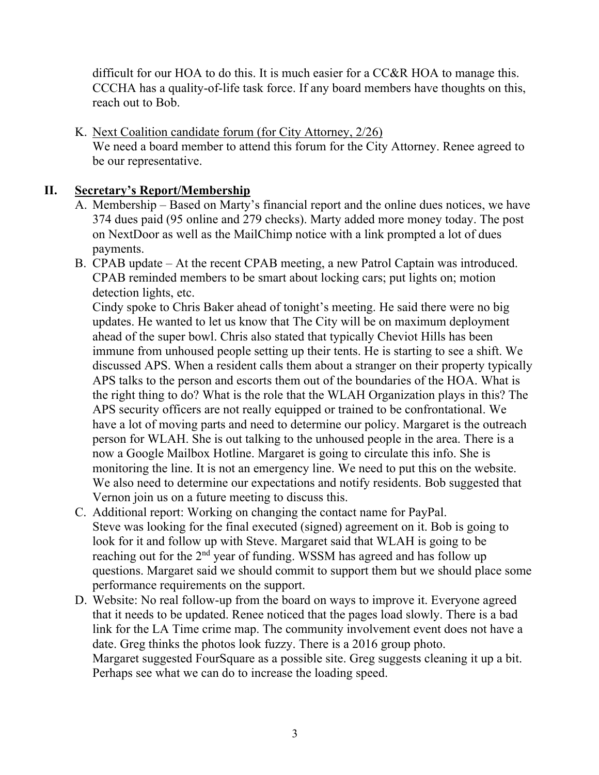difficult for our HOA to do this. It is much easier for a CC&R HOA to manage this. CCCHA has a quality-of-life task force. If any board members have thoughts on this, reach out to Bob.

K. Next Coalition candidate forum (for City Attorney, 2/26) We need a board member to attend this forum for the City Attorney. Renee agreed to be our representative.

### **II. Secretary's Report/Membership**

- A. Membership Based on Marty's financial report and the online dues notices, we have 374 dues paid (95 online and 279 checks). Marty added more money today. The post on NextDoor as well as the MailChimp notice with a link prompted a lot of dues payments.
- B. CPAB update At the recent CPAB meeting, a new Patrol Captain was introduced. CPAB reminded members to be smart about locking cars; put lights on; motion detection lights, etc.

Cindy spoke to Chris Baker ahead of tonight's meeting. He said there were no big updates. He wanted to let us know that The City will be on maximum deployment ahead of the super bowl. Chris also stated that typically Cheviot Hills has been immune from unhoused people setting up their tents. He is starting to see a shift. We discussed APS. When a resident calls them about a stranger on their property typically APS talks to the person and escorts them out of the boundaries of the HOA. What is the right thing to do? What is the role that the WLAH Organization plays in this? The APS security officers are not really equipped or trained to be confrontational. We have a lot of moving parts and need to determine our policy. Margaret is the outreach person for WLAH. She is out talking to the unhoused people in the area. There is a now a Google Mailbox Hotline. Margaret is going to circulate this info. She is monitoring the line. It is not an emergency line. We need to put this on the website. We also need to determine our expectations and notify residents. Bob suggested that Vernon join us on a future meeting to discuss this.

- C. Additional report: Working on changing the contact name for PayPal. Steve was looking for the final executed (signed) agreement on it. Bob is going to look for it and follow up with Steve. Margaret said that WLAH is going to be reaching out for the 2<sup>nd</sup> year of funding. WSSM has agreed and has follow up questions. Margaret said we should commit to support them but we should place some performance requirements on the support.
- D. Website: No real follow-up from the board on ways to improve it. Everyone agreed that it needs to be updated. Renee noticed that the pages load slowly. There is a bad link for the LA Time crime map. The community involvement event does not have a date. Greg thinks the photos look fuzzy. There is a 2016 group photo. Margaret suggested FourSquare as a possible site. Greg suggests cleaning it up a bit. Perhaps see what we can do to increase the loading speed.